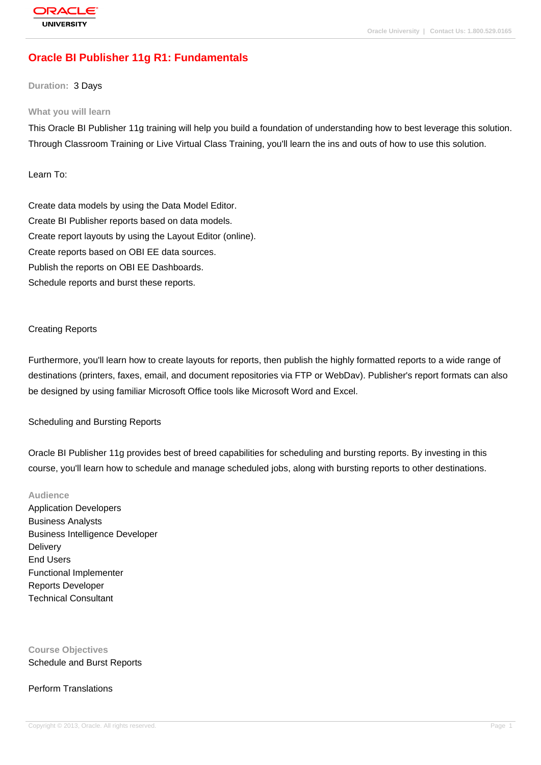# **[Oracle BI Publ](http://education.oracle.com/pls/web_prod-plq-dad/db_pages.getpage?page_id=3)isher 11g R1: Fundamentals**

#### **Duration:** 3 Days

#### **What you will learn**

This Oracle BI Publisher 11g training will help you build a foundation of understanding how to best leverage this solution. Through Classroom Training or Live Virtual Class Training, you'll learn the ins and outs of how to use this solution.

Learn To:

Create data models by using the Data Model Editor. Create BI Publisher reports based on data models. Create report layouts by using the Layout Editor (online). Create reports based on OBI EE data sources. Publish the reports on OBI EE Dashboards. Schedule reports and burst these reports.

#### Creating Reports

Furthermore, you'll learn how to create layouts for reports, then publish the highly formatted reports to a wide range of destinations (printers, faxes, email, and document repositories via FTP or WebDav). Publisher's report formats can also be designed by using familiar Microsoft Office tools like Microsoft Word and Excel.

#### Scheduling and Bursting Reports

Oracle BI Publisher 11g provides best of breed capabilities for scheduling and bursting reports. By investing in this course, you'll learn how to schedule and manage scheduled jobs, along with bursting reports to other destinations.

### **Audience**

Application Developers Business Analysts Business Intelligence Developer **Delivery** End Users Functional Implementer Reports Developer Technical Consultant

**Course Objectives** Schedule and Burst Reports

#### Perform Translations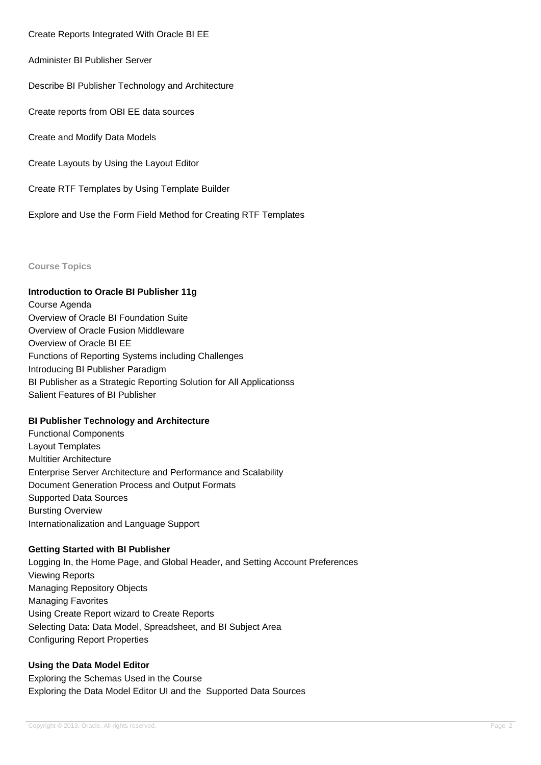Create Reports Integrated With Oracle BI EE

Administer BI Publisher Server

Describe BI Publisher Technology and Architecture

Create reports from OBI EE data sources

Create and Modify Data Models

Create Layouts by Using the Layout Editor

Create RTF Templates by Using Template Builder

Explore and Use the Form Field Method for Creating RTF Templates

**Course Topics**

#### **Introduction to Oracle BI Publisher 11g**

Course Agenda Overview of Oracle BI Foundation Suite Overview of Oracle Fusion Middleware Overview of Oracle BI EE Functions of Reporting Systems including Challenges Introducing BI Publisher Paradigm BI Publisher as a Strategic Reporting Solution for All Applicationss Salient Features of BI Publisher

### **BI Publisher Technology and Architecture**

Functional Components Layout Templates Multitier Architecture Enterprise Server Architecture and Performance and Scalability Document Generation Process and Output Formats Supported Data Sources Bursting Overview Internationalization and Language Support

### **Getting Started with BI Publisher**

Logging In, the Home Page, and Global Header, and Setting Account Preferences Viewing Reports Managing Repository Objects Managing Favorites Using Create Report wizard to Create Reports Selecting Data: Data Model, Spreadsheet, and BI Subject Area Configuring Report Properties

### **Using the Data Model Editor**

Exploring the Schemas Used in the Course Exploring the Data Model Editor UI and the Supported Data Sources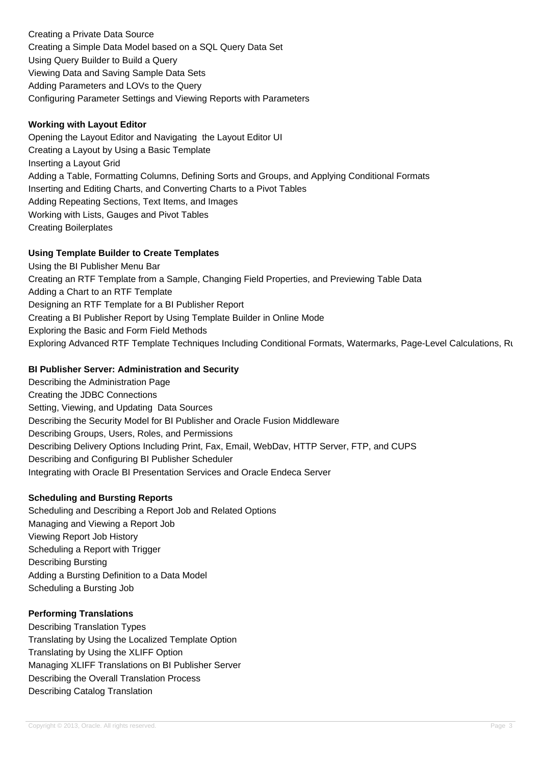Creating a Private Data Source Creating a Simple Data Model based on a SQL Query Data Set Using Query Builder to Build a Query Viewing Data and Saving Sample Data Sets Adding Parameters and LOVs to the Query Configuring Parameter Settings and Viewing Reports with Parameters

### **Working with Layout Editor**

Opening the Layout Editor and Navigating the Layout Editor UI Creating a Layout by Using a Basic Template Inserting a Layout Grid Adding a Table, Formatting Columns, Defining Sorts and Groups, and Applying Conditional Formats Inserting and Editing Charts, and Converting Charts to a Pivot Tables Adding Repeating Sections, Text Items, and Images Working with Lists, Gauges and Pivot Tables Creating Boilerplates

### **Using Template Builder to Create Templates**

Using the BI Publisher Menu Bar Creating an RTF Template from a Sample, Changing Field Properties, and Previewing Table Data Adding a Chart to an RTF Template Designing an RTF Template for a BI Publisher Report Creating a BI Publisher Report by Using Template Builder in Online Mode Exploring the Basic and Form Field Methods Exploring Advanced RTF Template Techniques Including Conditional Formats, Watermarks, Page-Level Calculations, Ru

## **BI Publisher Server: Administration and Security**

Describing the Administration Page Creating the JDBC Connections Setting, Viewing, and Updating Data Sources Describing the Security Model for BI Publisher and Oracle Fusion Middleware Describing Groups, Users, Roles, and Permissions Describing Delivery Options Including Print, Fax, Email, WebDav, HTTP Server, FTP, and CUPS Describing and Configuring BI Publisher Scheduler Integrating with Oracle BI Presentation Services and Oracle Endeca Server

## **Scheduling and Bursting Reports**

Scheduling and Describing a Report Job and Related Options Managing and Viewing a Report Job Viewing Report Job History Scheduling a Report with Trigger Describing Bursting Adding a Bursting Definition to a Data Model Scheduling a Bursting Job

## **Performing Translations**

Describing Translation Types Translating by Using the Localized Template Option Translating by Using the XLIFF Option Managing XLIFF Translations on BI Publisher Server Describing the Overall Translation Process Describing Catalog Translation